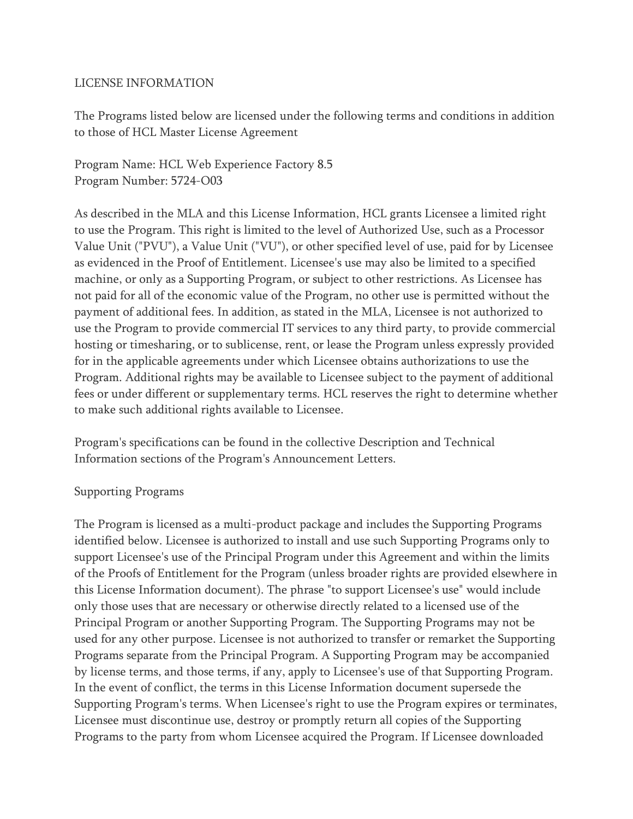## LICENSE INFORMATION

The Programs listed below are licensed under the following terms and conditions in addition to those of HCL Master License Agreement

Program Name: HCL Web Experience Factory 8.5 Program Number: 5724-O03

As described in the MLA and this License Information, HCL grants Licensee a limited right to use the Program. This right is limited to the level of Authorized Use, such as a Processor Value Unit ("PVU"), a Value Unit ("VU"), or other specified level of use, paid for by Licensee as evidenced in the Proof of Entitlement. Licensee's use may also be limited to a specified machine, or only as a Supporting Program, or subject to other restrictions. As Licensee has not paid for all of the economic value of the Program, no other use is permitted without the payment of additional fees. In addition, as stated in the MLA, Licensee is not authorized to use the Program to provide commercial IT services to any third party, to provide commercial hosting or timesharing, or to sublicense, rent, or lease the Program unless expressly provided for in the applicable agreements under which Licensee obtains authorizations to use the Program. Additional rights may be available to Licensee subject to the payment of additional fees or under different or supplementary terms. HCL reserves the right to determine whether to make such additional rights available to Licensee.

Program's specifications can be found in the collective Description and Technical Information sections of the Program's Announcement Letters.

## Supporting Programs

The Program is licensed as a multi-product package and includes the Supporting Programs identified below. Licensee is authorized to install and use such Supporting Programs only to support Licensee's use of the Principal Program under this Agreement and within the limits of the Proofs of Entitlement for the Program (unless broader rights are provided elsewhere in this License Information document). The phrase "to support Licensee's use" would include only those uses that are necessary or otherwise directly related to a licensed use of the Principal Program or another Supporting Program. The Supporting Programs may not be used for any other purpose. Licensee is not authorized to transfer or remarket the Supporting Programs separate from the Principal Program. A Supporting Program may be accompanied by license terms, and those terms, if any, apply to Licensee's use of that Supporting Program. In the event of conflict, the terms in this License Information document supersede the Supporting Program's terms. When Licensee's right to use the Program expires or terminates, Licensee must discontinue use, destroy or promptly return all copies of the Supporting Programs to the party from whom Licensee acquired the Program. If Licensee downloaded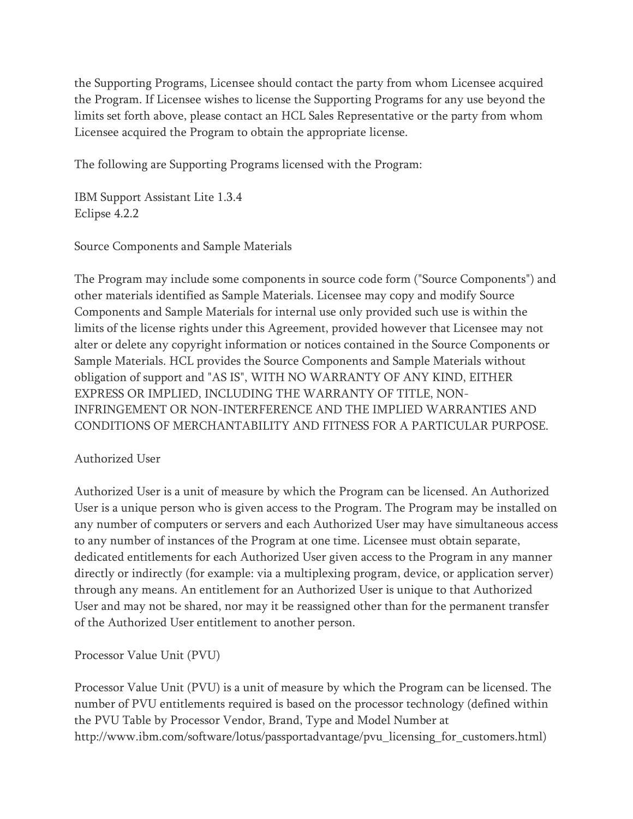the Supporting Programs, Licensee should contact the party from whom Licensee acquired the Program. If Licensee wishes to license the Supporting Programs for any use beyond the limits set forth above, please contact an HCL Sales Representative or the party from whom Licensee acquired the Program to obtain the appropriate license.

The following are Supporting Programs licensed with the Program:

IBM Support Assistant Lite 1.3.4 Eclipse 4.2.2

Source Components and Sample Materials

The Program may include some components in source code form ("Source Components") and other materials identified as Sample Materials. Licensee may copy and modify Source Components and Sample Materials for internal use only provided such use is within the limits of the license rights under this Agreement, provided however that Licensee may not alter or delete any copyright information or notices contained in the Source Components or Sample Materials. HCL provides the Source Components and Sample Materials without obligation of support and "AS IS", WITH NO WARRANTY OF ANY KIND, EITHER EXPRESS OR IMPLIED, INCLUDING THE WARRANTY OF TITLE, NON-INFRINGEMENT OR NON-INTERFERENCE AND THE IMPLIED WARRANTIES AND CONDITIONS OF MERCHANTABILITY AND FITNESS FOR A PARTICULAR PURPOSE.

## Authorized User

Authorized User is a unit of measure by which the Program can be licensed. An Authorized User is a unique person who is given access to the Program. The Program may be installed on any number of computers or servers and each Authorized User may have simultaneous access to any number of instances of the Program at one time. Licensee must obtain separate, dedicated entitlements for each Authorized User given access to the Program in any manner directly or indirectly (for example: via a multiplexing program, device, or application server) through any means. An entitlement for an Authorized User is unique to that Authorized User and may not be shared, nor may it be reassigned other than for the permanent transfer of the Authorized User entitlement to another person.

Processor Value Unit (PVU)

Processor Value Unit (PVU) is a unit of measure by which the Program can be licensed. The number of PVU entitlements required is based on the processor technology (defined within the PVU Table by Processor Vendor, Brand, Type and Model Number at http://www.ibm.com/software/lotus/passportadvantage/pvu\_licensing\_for\_customers.html)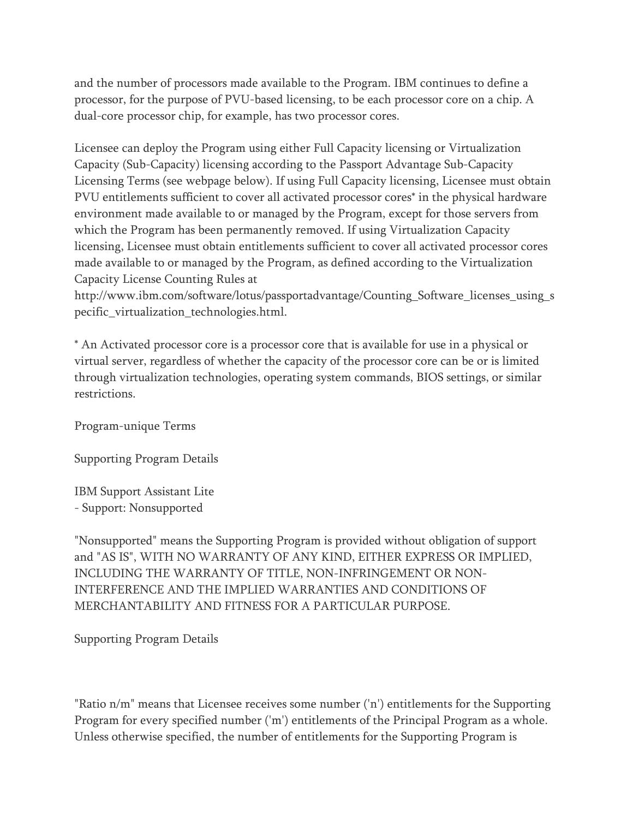and the number of processors made available to the Program. IBM continues to define a processor, for the purpose of PVU-based licensing, to be each processor core on a chip. A dual-core processor chip, for example, has two processor cores.

Licensee can deploy the Program using either Full Capacity licensing or Virtualization Capacity (Sub-Capacity) licensing according to the Passport Advantage Sub-Capacity Licensing Terms (see webpage below). If using Full Capacity licensing, Licensee must obtain PVU entitlements sufficient to cover all activated processor cores\* in the physical hardware environment made available to or managed by the Program, except for those servers from which the Program has been permanently removed. If using Virtualization Capacity licensing, Licensee must obtain entitlements sufficient to cover all activated processor cores made available to or managed by the Program, as defined according to the Virtualization Capacity License Counting Rules at

http://www.ibm.com/software/lotus/passportadvantage/Counting\_Software\_licenses\_using\_s pecific\_virtualization\_technologies.html.

\* An Activated processor core is a processor core that is available for use in a physical or virtual server, regardless of whether the capacity of the processor core can be or is limited through virtualization technologies, operating system commands, BIOS settings, or similar restrictions.

Program-unique Terms

Supporting Program Details

IBM Support Assistant Lite - Support: Nonsupported

"Nonsupported" means the Supporting Program is provided without obligation of support and "AS IS", WITH NO WARRANTY OF ANY KIND, EITHER EXPRESS OR IMPLIED, INCLUDING THE WARRANTY OF TITLE, NON-INFRINGEMENT OR NON-INTERFERENCE AND THE IMPLIED WARRANTIES AND CONDITIONS OF MERCHANTABILITY AND FITNESS FOR A PARTICULAR PURPOSE.

Supporting Program Details

"Ratio n/m" means that Licensee receives some number ('n') entitlements for the Supporting Program for every specified number ('m') entitlements of the Principal Program as a whole. Unless otherwise specified, the number of entitlements for the Supporting Program is